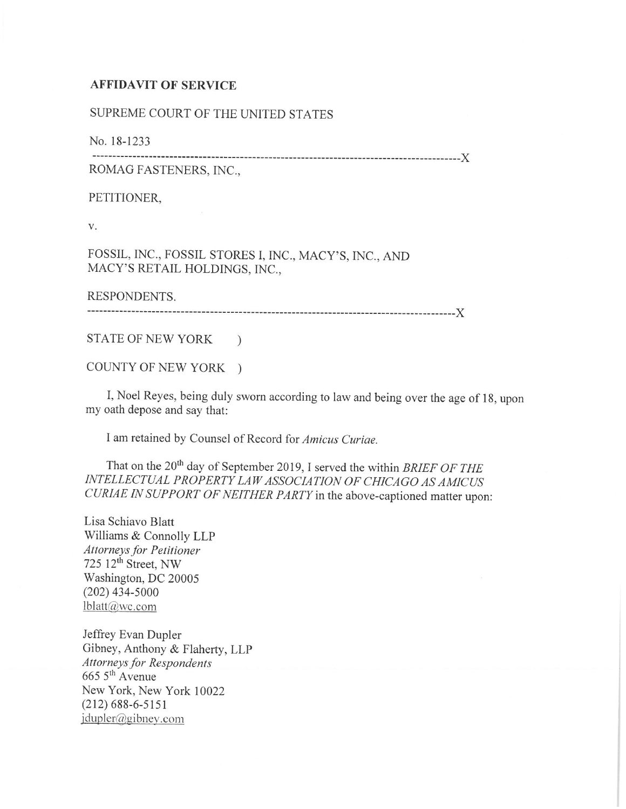## **AFFIDAVIT OF SERVICE**

## SUPREME COURT OF THE UNITED STATES

No. 18-1233

------------------------------------------------------------------------------------------)(

ROMAG FASTENERS, INC.,

PETITIONER,

V.

FOSSIL, INC., FOSSIL STORES I, INC., MACY'S, INC., AND MACY'S RETAIL HOLDINGS, INC.,

RESPONDENTS.

------------------------------------------------------------------------------------------)(

STATE OF NEW YORK )

COUNTY OF NEW YORK )

I, Noel Reyes, being duly sworn according to law and being over the age of 18, upon my oath depose and say that:

I am retained by Counsel of Record for *Amicus Curiae.* 

That on the 20<sup>th</sup> day of September 2019, I served the within *BRIEF OF THE INTELLECTUAL PROPERTY LAW ASSOCIATION OF CHICAGO AS AM/CVS CURIAE IN SUPPORT OF NEITHER PARTY* in the above-captioned matter upon:

Lisa Schiavo Blatt Williams & Connolly LLP *Attorneys for Petitioner*   $725 \, 12^{\text{th}}$  Street, NW Washington, DC 20005 (202) 434-5000 lblatt@,vc.com

Jeffrey Evan Dupler Gibney, Anthony & Flaherty, LLP *Attorneys for Respondents*   $6655<sup>th</sup>$  Avenue New York, New York 10022 (212) 688-6-5151  $j$ dupler@gibney.com